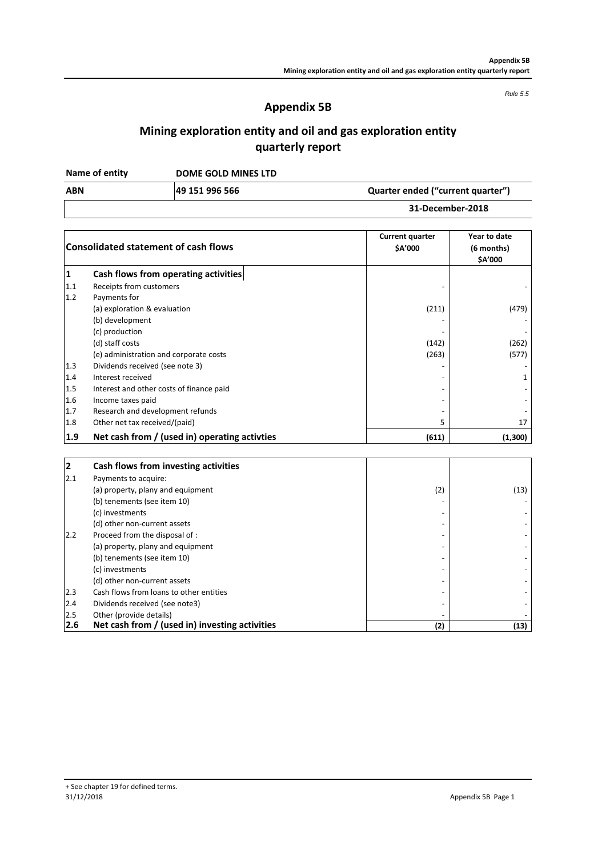*Rule 5.5*

## **Appendix 5B**

# **Mining exploration entity and oil and gas exploration entity quarterly report**

**DOME GOLD MINES LTD Name of entity**

| <b>ABN</b> | 49 151 996 566 | Quarter ended ("current quarter") |
|------------|----------------|-----------------------------------|
|            |                | 31-December-2018                  |

|     | <b>Consolidated statement of cash flows</b>    | <b>Current quarter</b><br>\$A'000 | Year to date<br>(6 months)<br>\$A'000 |
|-----|------------------------------------------------|-----------------------------------|---------------------------------------|
| 1   | Cash flows from operating activities           |                                   |                                       |
| 1.1 | Receipts from customers                        |                                   |                                       |
| 1.2 | Payments for                                   |                                   |                                       |
|     | (a) exploration & evaluation                   | (211)                             | (479)                                 |
|     | (b) development                                |                                   |                                       |
|     | (c) production                                 |                                   |                                       |
|     | (d) staff costs                                | (142)                             | (262)                                 |
|     | (e) administration and corporate costs         | (263)                             | (577)                                 |
| 1.3 | Dividends received (see note 3)                |                                   |                                       |
| 1.4 | Interest received                              |                                   |                                       |
| 1.5 | Interest and other costs of finance paid       |                                   |                                       |
| 1.6 | Income taxes paid                              |                                   |                                       |
| 1.7 | Research and development refunds               |                                   |                                       |
| 1.8 | Other net tax received/(paid)                  | 5                                 | 17                                    |
| 1.9 | Net cash from / (used in) operating activities | (611)                             | (1,300)                               |

| 2   | Cash flows from investing activities           |     |      |
|-----|------------------------------------------------|-----|------|
| 2.1 | Payments to acquire:                           |     |      |
|     | (a) property, plany and equipment              | (2) | (13) |
|     | (b) tenements (see item 10)                    |     |      |
|     | (c) investments                                |     |      |
|     | (d) other non-current assets                   |     |      |
| 2.2 | Proceed from the disposal of :                 |     |      |
|     | (a) property, plany and equipment              |     |      |
|     | (b) tenements (see item 10)                    |     |      |
|     | (c) investments                                |     |      |
|     | (d) other non-current assets                   |     |      |
| 2.3 | Cash flows from loans to other entities        |     |      |
| 2.4 | Dividends received (see note3)                 |     |      |
| 2.5 | Other (provide details)                        |     |      |
| 2.6 | Net cash from / (used in) investing activities | (2) | (13) |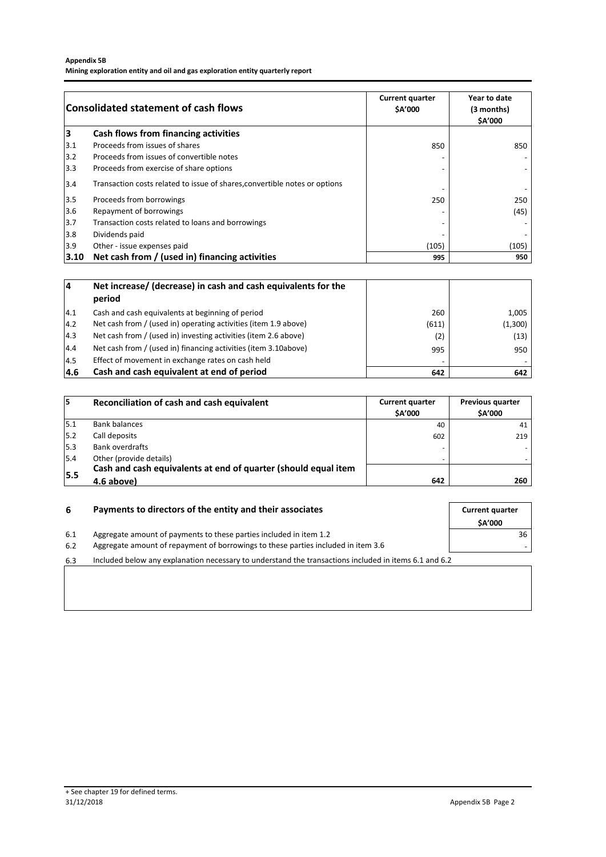### **Appendix 5B**

**Mining exploration entity and oil and gas exploration entity quarterly report**

|       | <b>Consolidated statement of cash flows</b>                                | <b>Current quarter</b><br><b>SA'000</b> | Year to date<br>(3 months)<br>\$A'000 |
|-------|----------------------------------------------------------------------------|-----------------------------------------|---------------------------------------|
| 3     | Cash flows from financing activities                                       |                                         |                                       |
| 3.1   | Proceeds from issues of shares                                             | 850                                     | 850                                   |
| 3.2   | Proceeds from issues of convertible notes                                  |                                         |                                       |
| 3.3   | Proceeds from exercise of share options                                    |                                         |                                       |
| 3.4   | Transaction costs related to issue of shares, convertible notes or options |                                         |                                       |
| $3.5$ | Proceeds from borrowings                                                   | 250                                     | 250                                   |
| $3.6$ | Repayment of borrowings                                                    |                                         | (45)                                  |
| 3.7   | Transaction costs related to loans and borrowings                          |                                         |                                       |
| 3.8   | Dividends paid                                                             |                                         |                                       |
| 3.9   | Other - issue expenses paid                                                | (105)                                   | (105)                                 |
| 3.10  | Net cash from / (used in) financing activities                             | 995                                     | 950                                   |

| 4    | Net increase/ (decrease) in cash and cash equivalents for the<br>period |       |         |
|------|-------------------------------------------------------------------------|-------|---------|
| 4.1  | Cash and cash equivalents at beginning of period                        | 260   | 1,005   |
| 14.2 | Net cash from / (used in) operating activities (item 1.9 above)         | (611) | (1,300) |
| 14.3 | Net cash from / (used in) investing activities (item 2.6 above)         | (2)   | (13)    |
| 4.4  | Net cash from / (used in) financing activities (item 3.10above)         | 995   | 950     |
| 14.5 | Effect of movement in exchange rates on cash held                       |       |         |
| 4.6  | Cash and cash equivalent at end of period                               | 642   | 642     |

| 15  | Reconciliation of cash and cash equivalent                     | <b>Current quarter</b><br><b>SA'000</b> | <b>Previous quarter</b><br><b>SA'000</b> |
|-----|----------------------------------------------------------------|-----------------------------------------|------------------------------------------|
| 5.1 | <b>Bank balances</b>                                           | 40                                      | 41                                       |
| 5.2 | Call deposits                                                  | 602                                     | 219                                      |
| 5.3 | Bank overdrafts                                                |                                         |                                          |
| 5.4 | Other (provide details)                                        |                                         |                                          |
|     | Cash and cash equivalents at end of quarter (should equal item |                                         |                                          |
| 5.5 | 4.6 above)                                                     | 642                                     | 260                                      |

| 6   | Payments to directors of the entity and their associates                                              |               |
|-----|-------------------------------------------------------------------------------------------------------|---------------|
|     |                                                                                                       | <b>SA'000</b> |
| 6.1 | Aggregate amount of payments to these parties included in item 1.2                                    | 36            |
| 6.2 | Aggregate amount of repayment of borrowings to these parties included in item 3.6                     |               |
| 6.3 | Included below any explanation necessary to understand the transactions included in items 6.1 and 6.2 |               |
|     |                                                                                                       |               |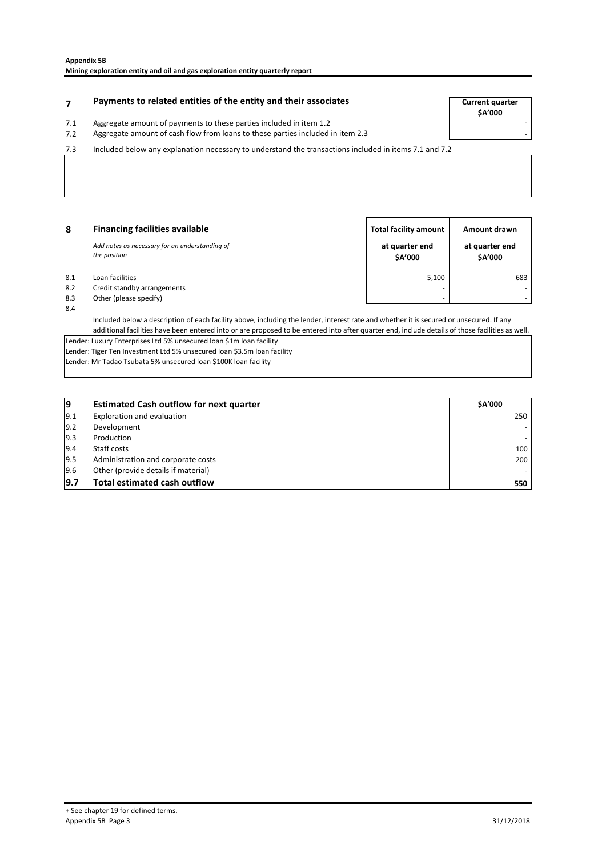### **Payments to related entities of the entity and their associates The Source of Current quarter**

7.1 Aggregate amount of payments to these parties included in item 1.2

7.2 - Aggregate amount of cash flow from loans to these parties included in item 2.3

7.3 Included below any explanation necessary to understand the transactions included in items 7.1 and 7.2

| 8   | <b>Financing facilities available</b>                          | <b>Total facility amount</b> | Amount drawn              |
|-----|----------------------------------------------------------------|------------------------------|---------------------------|
|     | Add notes as necessary for an understanding of<br>the position | at quarter end<br>\$A'000    | at quarter end<br>\$A'000 |
| 8.1 | Loan facilities                                                | 5,100                        | 683                       |
| 8.2 | Credit standby arrangements                                    | -                            |                           |
| 8.3 | Other (please specify)                                         | -                            |                           |

8.4

Included below a description of each facility above, including the lender, interest rate and whether it is secured or unsecured. If any additional facilities have been entered into or are proposed to be entered into after quarter end, include details of those facilities as well.

Lender: Luxury Enterprises Ltd 5% unsecured loan \$1m loan facility Lender: Tiger Ten Investment Ltd 5% unsecured loan \$3.5m loan facility

Lender: Mr Tadao Tsubata 5% unsecured loan \$100K loan facility

| 19  | <b>Estimated Cash outflow for next quarter</b> | <b>SA'000</b> |
|-----|------------------------------------------------|---------------|
| 9.1 | Exploration and evaluation                     | 250           |
| 9.2 | Development                                    |               |
| 9.3 | Production                                     |               |
| 9.4 | Staff costs                                    | 100           |
| 9.5 | Administration and corporate costs             | 200           |
| 9.6 | Other (provide details if material)            |               |
| 9.7 | <b>Total estimated cash outflow</b>            | 550           |

**\$A'000**